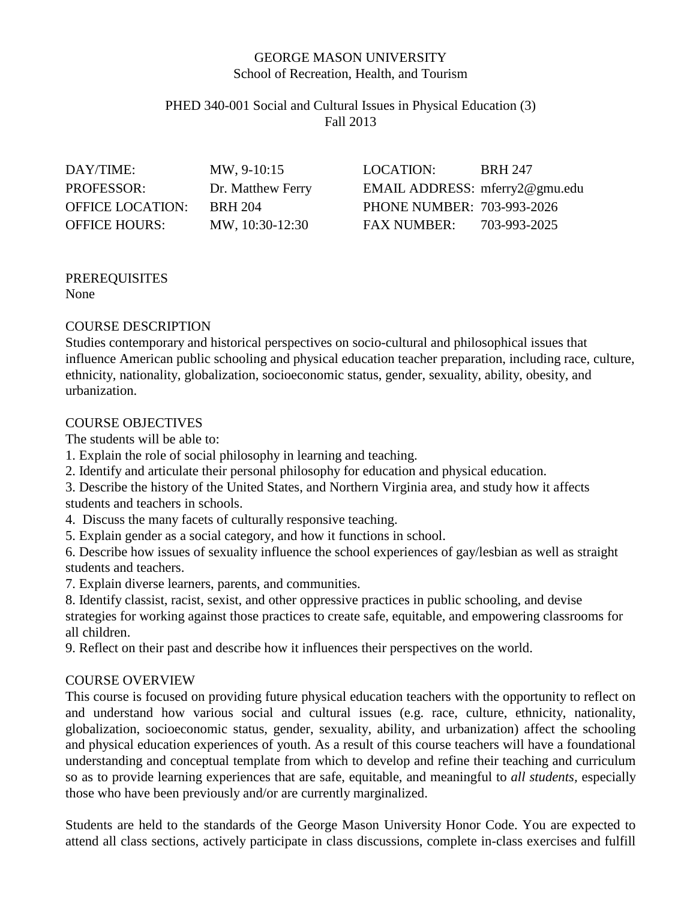#### GEORGE MASON UNIVERSITY School of Recreation, Health, and Tourism

#### PHED 340-001 Social and Cultural Issues in Physical Education (3) Fall 2013

| DAY/TIME:               | MW, 9-10:15       | LOCATION:                      | <b>BRH 247</b> |
|-------------------------|-------------------|--------------------------------|----------------|
| <b>PROFESSOR:</b>       | Dr. Matthew Ferry | EMAIL ADDRESS: mferry2@gmu.edu |                |
| <b>OFFICE LOCATION:</b> | <b>BRH 204</b>    | PHONE NUMBER: 703-993-2026     |                |
| <b>OFFICE HOURS:</b>    | MW, 10:30-12:30   | <b>FAX NUMBER:</b>             | 703-993-2025   |

# PREREQUISITES

None

### COURSE DESCRIPTION

Studies contemporary and historical perspectives on socio-cultural and philosophical issues that influence American public schooling and physical education teacher preparation, including race, culture, ethnicity, nationality, globalization, socioeconomic status, gender, sexuality, ability, obesity, and urbanization.

#### COURSE OBJECTIVES

The students will be able to:

- 1. Explain the role of social philosophy in learning and teaching.
- 2. Identify and articulate their personal philosophy for education and physical education.
- 3. Describe the history of the United States, and Northern Virginia area, and study how it affects students and teachers in schools.
- 4. Discuss the many facets of culturally responsive teaching.
- 5. Explain gender as a social category, and how it functions in school.

6. Describe how issues of sexuality influence the school experiences of gay/lesbian as well as straight students and teachers.

- 7. Explain diverse learners, parents, and communities.
- 8. Identify classist, racist, sexist, and other oppressive practices in public schooling, and devise strategies for working against those practices to create safe, equitable, and empowering classrooms for all children.
- 9. Reflect on their past and describe how it influences their perspectives on the world.

### COURSE OVERVIEW

This course is focused on providing future physical education teachers with the opportunity to reflect on and understand how various social and cultural issues (e.g. race, culture, ethnicity, nationality, globalization, socioeconomic status, gender, sexuality, ability, and urbanization) affect the schooling and physical education experiences of youth. As a result of this course teachers will have a foundational understanding and conceptual template from which to develop and refine their teaching and curriculum so as to provide learning experiences that are safe, equitable, and meaningful to *all students,* especially those who have been previously and/or are currently marginalized.

Students are held to the standards of the George Mason University Honor Code. You are expected to attend all class sections, actively participate in class discussions, complete in-class exercises and fulfill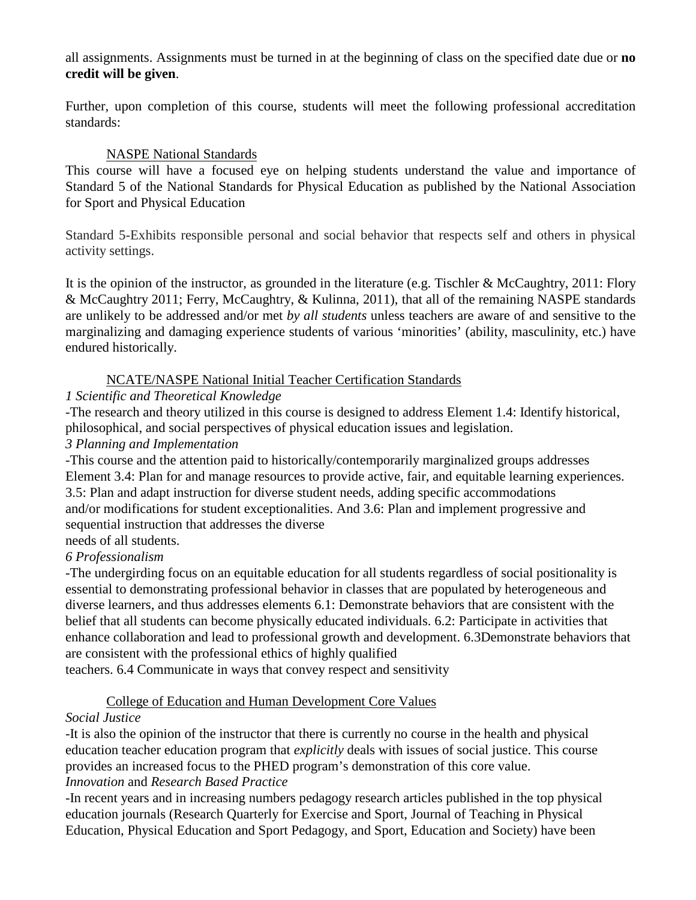all assignments. Assignments must be turned in at the beginning of class on the specified date due or **no credit will be given**.

Further, upon completion of this course, students will meet the following professional accreditation standards:

#### NASPE National Standards

This course will have a focused eye on helping students understand the value and importance of Standard 5 of the National Standards for Physical Education as published by the National Association for Sport and Physical Education

Standard 5-Exhibits responsible personal and social behavior that respects self and others in physical activity settings.

It is the opinion of the instructor, as grounded in the literature (e.g. Tischler & McCaughtry, 2011: Flory & McCaughtry 2011; Ferry, McCaughtry, & Kulinna, 2011), that all of the remaining NASPE standards are unlikely to be addressed and/or met *by all students* unless teachers are aware of and sensitive to the marginalizing and damaging experience students of various 'minorities' (ability, masculinity, etc.) have endured historically.

#### NCATE/NASPE National Initial Teacher Certification Standards

#### *1 Scientific and Theoretical Knowledge*

-The research and theory utilized in this course is designed to address Element 1.4: Identify historical, philosophical, and social perspectives of physical education issues and legislation.

#### *3 Planning and Implementation*

-This course and the attention paid to historically/contemporarily marginalized groups addresses Element 3.4: Plan for and manage resources to provide active, fair, and equitable learning experiences. 3.5: Plan and adapt instruction for diverse student needs, adding specific accommodations and/or modifications for student exceptionalities. And 3.6: Plan and implement progressive and sequential instruction that addresses the diverse

### needs of all students.

#### *6 Professionalism*

-The undergirding focus on an equitable education for all students regardless of social positionality is essential to demonstrating professional behavior in classes that are populated by heterogeneous and diverse learners, and thus addresses elements 6.1: Demonstrate behaviors that are consistent with the belief that all students can become physically educated individuals. 6.2: Participate in activities that enhance collaboration and lead to professional growth and development. 6.3Demonstrate behaviors that are consistent with the professional ethics of highly qualified

teachers. 6.4 Communicate in ways that convey respect and sensitivity

### College of Education and Human Development Core Values

### *Social Justice*

-It is also the opinion of the instructor that there is currently no course in the health and physical education teacher education program that *explicitly* deals with issues of social justice. This course provides an increased focus to the PHED program's demonstration of this core value. *Innovation* and *Research Based Practice*

-In recent years and in increasing numbers pedagogy research articles published in the top physical education journals (Research Quarterly for Exercise and Sport, Journal of Teaching in Physical Education, Physical Education and Sport Pedagogy, and Sport, Education and Society) have been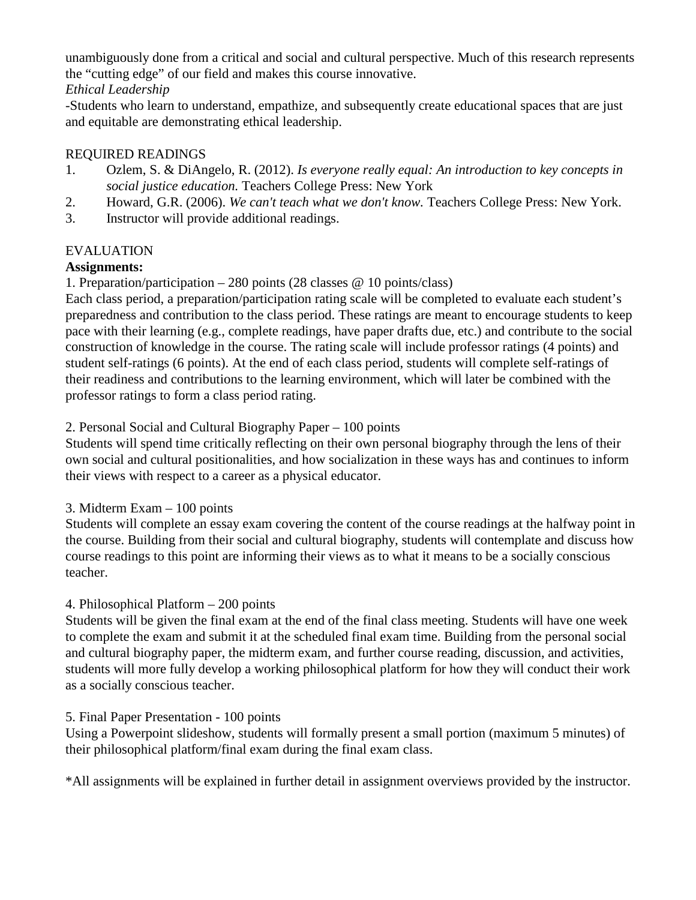unambiguously done from a critical and social and cultural perspective. Much of this research represents the "cutting edge" of our field and makes this course innovative. *Ethical Leadership*

# -Students who learn to understand, empathize, and subsequently create educational spaces that are just and equitable are demonstrating ethical leadership.

### REQUIRED READINGS

- 1. Ozlem, S. & DiAngelo, R. (2012). *Is everyone really equal: An introduction to key concepts in social justice education.* Teachers College Press: New York
- 2. Howard, G.R. (2006). *We can't teach what we don't know.* Teachers College Press: New York.
- 3. Instructor will provide additional readings.

### EVALUATION

### **Assignments:**

1. Preparation/participation – 280 points (28 classes @ 10 points/class)

Each class period, a preparation/participation rating scale will be completed to evaluate each student's preparedness and contribution to the class period. These ratings are meant to encourage students to keep pace with their learning (e.g., complete readings, have paper drafts due, etc.) and contribute to the social construction of knowledge in the course. The rating scale will include professor ratings (4 points) and student self-ratings (6 points). At the end of each class period, students will complete self-ratings of their readiness and contributions to the learning environment, which will later be combined with the professor ratings to form a class period rating.

#### 2. Personal Social and Cultural Biography Paper – 100 points

Students will spend time critically reflecting on their own personal biography through the lens of their own social and cultural positionalities, and how socialization in these ways has and continues to inform their views with respect to a career as a physical educator.

#### 3. Midterm Exam – 100 points

Students will complete an essay exam covering the content of the course readings at the halfway point in the course. Building from their social and cultural biography, students will contemplate and discuss how course readings to this point are informing their views as to what it means to be a socially conscious teacher.

### 4. Philosophical Platform – 200 points

Students will be given the final exam at the end of the final class meeting. Students will have one week to complete the exam and submit it at the scheduled final exam time. Building from the personal social and cultural biography paper, the midterm exam, and further course reading, discussion, and activities, students will more fully develop a working philosophical platform for how they will conduct their work as a socially conscious teacher.

#### 5. Final Paper Presentation - 100 points

Using a Powerpoint slideshow, students will formally present a small portion (maximum 5 minutes) of their philosophical platform/final exam during the final exam class.

\*All assignments will be explained in further detail in assignment overviews provided by the instructor.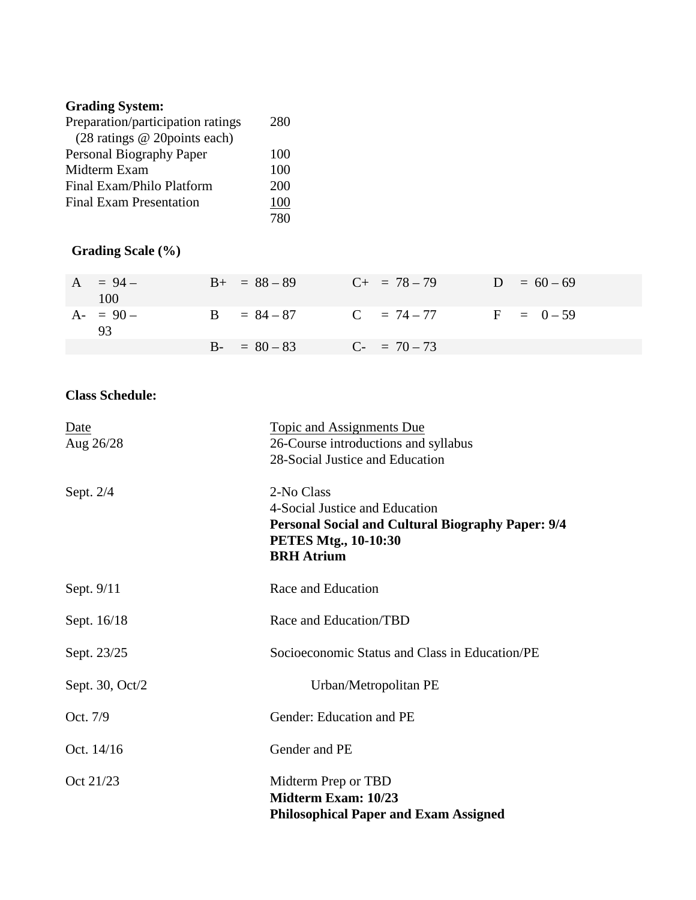# **Grading System:**

| Preparation/participation ratings | 280 |
|-----------------------------------|-----|
| (28 ratings @ 20points each)      |     |
| Personal Biography Paper          | 100 |
| Midterm Exam                      | 100 |
| Final Exam/Philo Platform         | 200 |
| <b>Final Exam Presentation</b>    | 100 |
|                                   | 780 |

# **Grading Scale (%)**

| $A = 94 -$<br>100 | $B_{+}$ = 88 - 89 | $C_{+}$ = 78 - 79    | $D = 60 - 69$ |
|-------------------|-------------------|----------------------|---------------|
| $A - 90 -$<br>93  | $B = 84 - 87$     | $C = 74-77$ F = 0-59 |               |
|                   | $B - 80 - 83$     | $C_{-}$ = 70 – 73    |               |

## **Class Schedule:**

| Date            | <b>Topic and Assignments Due</b>                         |
|-----------------|----------------------------------------------------------|
| Aug 26/28       | 26-Course introductions and syllabus                     |
|                 | 28-Social Justice and Education                          |
| Sept. $2/4$     | 2-No Class                                               |
|                 | 4-Social Justice and Education                           |
|                 | <b>Personal Social and Cultural Biography Paper: 9/4</b> |
|                 | <b>PETES Mtg., 10-10:30</b>                              |
|                 | <b>BRH</b> Atrium                                        |
| Sept. 9/11      | Race and Education                                       |
| Sept. 16/18     | Race and Education/TBD                                   |
| Sept. 23/25     | Socioeconomic Status and Class in Education/PE           |
| Sept. 30, Oct/2 | Urban/Metropolitan PE                                    |
| Oct. 7/9        | Gender: Education and PE                                 |
| Oct. 14/16      | Gender and PE                                            |
| Oct 21/23       | Midterm Prep or TBD                                      |
|                 | Midterm Exam: 10/23                                      |
|                 | <b>Philosophical Paper and Exam Assigned</b>             |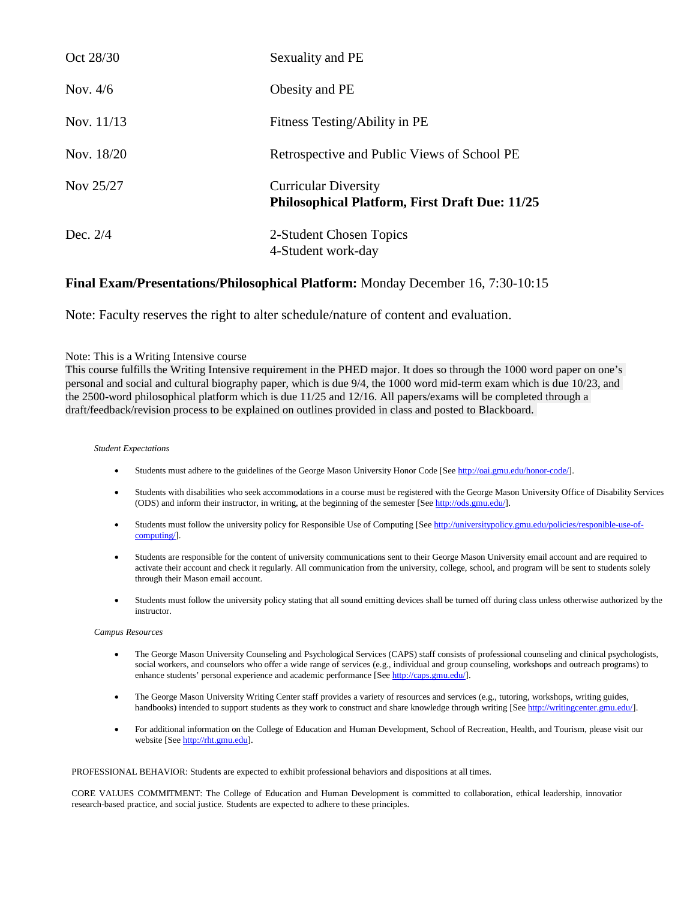| Oct 28/30  | Sexuality and PE                                                                     |
|------------|--------------------------------------------------------------------------------------|
| Nov. $4/6$ | Obesity and PE                                                                       |
| Nov. 11/13 | Fitness Testing/Ability in PE                                                        |
| Nov. 18/20 | Retrospective and Public Views of School PE                                          |
| Nov 25/27  | <b>Curricular Diversity</b><br><b>Philosophical Platform, First Draft Due: 11/25</b> |
| Dec. $2/4$ | 2-Student Chosen Topics<br>4-Student work-day                                        |

#### **Final Exam/Presentations/Philosophical Platform:** Monday December 16, 7:30-10:15

Note: Faculty reserves the right to alter schedule/nature of content and evaluation.

#### Note: This is a Writing Intensive course

This course fulfills the Writing Intensive requirement in the PHED major. It does so through the 1000 word paper on one's personal and social and cultural biography paper, which is due 9/4, the 1000 word mid-term exam which is due 10/23, and the 2500-word philosophical platform which is due 11/25 and 12/16. All papers/exams will be completed through a draft/feedback/revision process to be explained on outlines provided in class and posted to Blackboard.

#### *Student Expectations*

- Students must adhere to the guidelines of the George Mason University Honor Code [Se[e http://oai.gmu.edu/honor-code/\]](http://oai.gmu.edu/honor-code/).
- Students with disabilities who seek accommodations in a course must be registered with the George Mason University Office of Disability Services (ODS) and inform their instructor, in writing, at the beginning of the semester [Se[e http://ods.gmu.edu/\]](http://ods.gmu.edu/).
- Students must follow the university policy for Responsible Use of Computing [See [http://universitypolicy.gmu.edu/policies/responible-use-of](http://universitypolicy.gmu.edu/policies/responible-use-of-computing)[computing/\]](http://universitypolicy.gmu.edu/policies/responible-use-of-computing).
- Students are responsible for the content of university communications sent to their George Mason University email account and are required to activate their account and check it regularly. All communication from the university, college, school, and program will be sent to students solely through their Mason email account.
- Students must follow the university policy stating that all sound emitting devices shall be turned off during class unless otherwise authorized by the instructor.

#### *Campus Resources*

- The George Mason University Counseling and Psychological Services (CAPS) staff consists of professional counseling and clinical psychologists, social workers, and counselors who offer a wide range of services (e.g., individual and group counseling, workshops and outreach programs) to enhance students' personal experience and academic performance [Se[e http://caps.gmu.edu/\]](http://caps.gmu.edu/).
- The George Mason University Writing Center staff provides a variety of resources and services (e.g., tutoring, workshops, writing guides, handbooks) intended to support students as they work to construct and share knowledge through writing [Se[e http://writingcenter.gmu.edu/\]](http://writingcenter.gmu.edu/).
- For additional information on the College of Education and Human Development, School of Recreation, Health, and Tourism, please visit our website [Se[e http://rht.gmu.edu\]](http://rht.gmu.edu/).

PROFESSIONAL BEHAVIOR: Students are expected to exhibit professional behaviors and dispositions at all times.

CORE VALUES COMMITMENT: The College of Education and Human Development is committed to collaboration, ethical leadership, innovation research-based practice, and social justice. Students are expected to adhere to these principles.